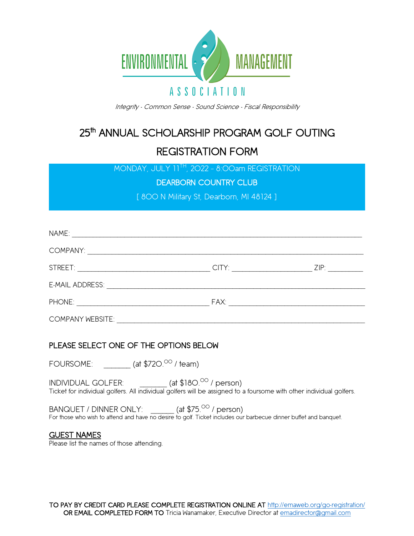

Integrity - Common Sense - Sound Science - Fiscal Responsibility

## 25<sup>th</sup> ANNUAL SCHOLARSHIP PROGRAM GOLF OUTING REGISTRATION FORM

MONDAY, JULY 11TH, 2022 – 8:00am REGISTRATION

DEARBORN COUNTRY CLUB

[ 800 N Military St, Dearborn, MI 48124 ]

|                         | ZIP: Album and the state of the state of the state of the state of the state of the state of the state of the |
|-------------------------|---------------------------------------------------------------------------------------------------------------|
|                         |                                                                                                               |
|                         |                                                                                                               |
| <b>COMPANY WEBSITE:</b> |                                                                                                               |

## PLEASE SELECT ONE OF THE OPTIONS BELOW

FOURSOME:  $($ at \$720. $^\mathrm{OO}$  / team)

INDIVIDUAL GOLFER: \_\_\_\_\_\_\_ (at \$180.<sup>00</sup> / person) Ticket for individual golfers. All individual golfers will be assigned to a foursome with other individual golfers.

BANQUET / DINNER ONLY:  $($ at \$75.<sup>00</sup> / person) For those who wish to attend and have no desire to golf. Ticket includes our barbecue dinner buffet and banquet.

## GUEST NAMES

Please list the names of those attending.